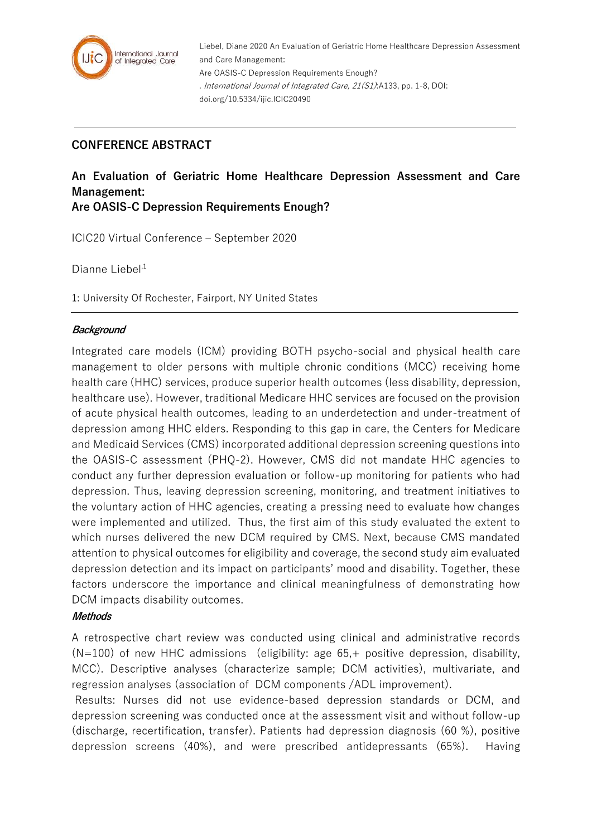

Liebel, Diane 2020 An Evaluation of Geriatric Home Healthcare Depression Assessment and Care Management: Are OASIS-C Depression Requirements Enough? . International Journal of Integrated Care, 21(S1):A133, pp. 1-8, DOI: doi.org/10.5334/ijic.ICIC20490

# **CONFERENCE ABSTRACT**

# **An Evaluation of Geriatric Home Healthcare Depression Assessment and Care Management:**

**Are OASIS-C Depression Requirements Enough?**

ICIC20 Virtual Conference – September 2020

Dianne Liebel $1$ 

1: University Of Rochester, Fairport, NY United States

## **Background**

Integrated care models (ICM) providing BOTH psycho-social and physical health care management to older persons with multiple chronic conditions (MCC) receiving home health care (HHC) services, produce superior health outcomes (less disability, depression, healthcare use). However, traditional Medicare HHC services are focused on the provision of acute physical health outcomes, leading to an underdetection and under-treatment of depression among HHC elders. Responding to this gap in care, the Centers for Medicare and Medicaid Services (CMS) incorporated additional depression screening questions into the OASIS-C assessment (PHQ-2). However, CMS did not mandate HHC agencies to conduct any further depression evaluation or follow-up monitoring for patients who had depression. Thus, leaving depression screening, monitoring, and treatment initiatives to the voluntary action of HHC agencies, creating a pressing need to evaluate how changes were implemented and utilized. Thus, the first aim of this study evaluated the extent to which nurses delivered the new DCM required by CMS. Next, because CMS mandated attention to physical outcomes for eligibility and coverage, the second study aim evaluated depression detection and its impact on participants' mood and disability. Together, these factors underscore the importance and clinical meaningfulness of demonstrating how DCM impacts disability outcomes.

# **Methods**

A retrospective chart review was conducted using clinical and administrative records  $(N=100)$  of new HHC admissions (eligibility: age 65, $+$  positive depression, disability, MCC). Descriptive analyses (characterize sample; DCM activities), multivariate, and regression analyses (association of DCM components /ADL improvement).

Results: Nurses did not use evidence-based depression standards or DCM, and depression screening was conducted once at the assessment visit and without follow-up (discharge, recertification, transfer). Patients had depression diagnosis (60 %), positive depression screens (40%), and were prescribed antidepressants (65%). Having